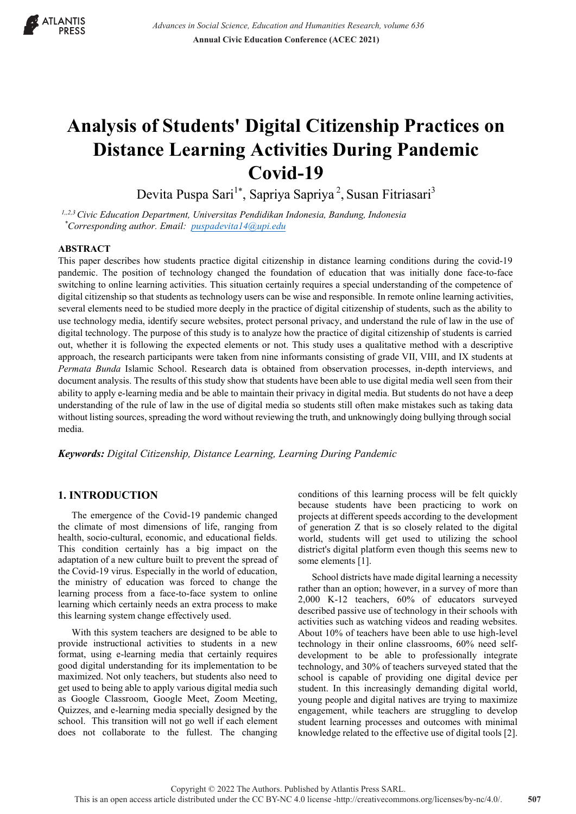

# **Analysis of Students' Digital Citizenship Practices on Distance Learning Activities During Pandemic Covid-19**

Devita Puspa Sari<sup>1\*</sup>, Sapriya Sapriya<sup>2</sup>, Susan Fitriasari<sup>3</sup>

*1,,2,3Civic Education Department, Universitas Pendidikan Indonesia, Bandung, Indonesia \*Corresponding author. Email: puspadevita14@upi.edu*

# **ABSTRACT**

This paper describes how students practice digital citizenship in distance learning conditions during the covid-19 pandemic. The position of technology changed the foundation of education that was initially done face-to-face switching to online learning activities. This situation certainly requires a special understanding of the competence of digital citizenship so that students as technology users can be wise and responsible. In remote online learning activities, several elements need to be studied more deeply in the practice of digital citizenship of students, such as the ability to use technology media, identify secure websites, protect personal privacy, and understand the rule of law in the use of digital technology. The purpose of this study is to analyze how the practice of digital citizenship of students is carried out, whether it is following the expected elements or not. This study uses a qualitative method with a descriptive approach, the research participants were taken from nine informants consisting of grade VII, VIII, and IX students at *Permata Bunda* Islamic School. Research data is obtained from observation processes, in-depth interviews, and document analysis. The results of this study show that students have been able to use digital media well seen from their ability to apply e-learning media and be able to maintain their privacy in digital media. But students do not have a deep understanding of the rule of law in the use of digital media so students still often make mistakes such as taking data without listing sources, spreading the word without reviewing the truth, and unknowingly doing bullying through social media.

*Keywords: Digital Citizenship, Distance Learning, Learning During Pandemic* 

# **1. INTRODUCTION**

The emergence of the Covid-19 pandemic changed the climate of most dimensions of life, ranging from health, socio-cultural, economic, and educational fields. This condition certainly has a big impact on the adaptation of a new culture built to prevent the spread of the Covid-19 virus. Especially in the world of education, the ministry of education was forced to change the learning process from a face-to-face system to online learning which certainly needs an extra process to make this learning system change effectively used.

With this system teachers are designed to be able to provide instructional activities to students in a new format, using e-learning media that certainly requires good digital understanding for its implementation to be maximized. Not only teachers, but students also need to get used to being able to apply various digital media such as Google Classroom, Google Meet, Zoom Meeting, Quizzes, and e-learning media specially designed by the school. This transition will not go well if each element does not collaborate to the fullest. The changing conditions of this learning process will be felt quickly because students have been practicing to work on projects at different speeds according to the development of generation Z that is so closely related to the digital world, students will get used to utilizing the school district's digital platform even though this seems new to some elements [1].

School districts have made digital learning a necessity rather than an option; however, in a survey of more than 2,000 K-12 teachers, 60% of educators surveyed described passive use of technology in their schools with activities such as watching videos and reading websites. About 10% of teachers have been able to use high-level technology in their online classrooms, 60% need selfdevelopment to be able to professionally integrate technology, and 30% of teachers surveyed stated that the school is capable of providing one digital device per student. In this increasingly demanding digital world, young people and digital natives are trying to maximize engagement, while teachers are struggling to develop student learning processes and outcomes with minimal knowledge related to the effective use of digital tools [2].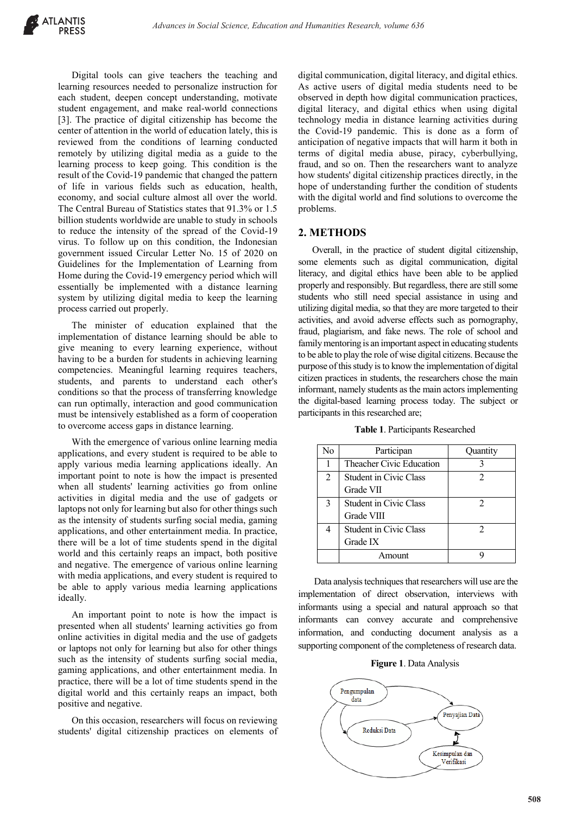Digital tools can give teachers the teaching and learning resources needed to personalize instruction for each student, deepen concept understanding, motivate student engagement, and make real-world connections [3]. The practice of digital citizenship has become the center of attention in the world of education lately, this is reviewed from the conditions of learning conducted remotely by utilizing digital media as a guide to the learning process to keep going. This condition is the result of the Covid-19 pandemic that changed the pattern of life in various fields such as education, health, economy, and social culture almost all over the world. The Central Bureau of Statistics states that 91.3% or 1.5 billion students worldwide are unable to study in schools to reduce the intensity of the spread of the Covid-19 virus. To follow up on this condition, the Indonesian government issued Circular Letter No. 15 of 2020 on Guidelines for the Implementation of Learning from Home during the Covid-19 emergency period which will essentially be implemented with a distance learning system by utilizing digital media to keep the learning process carried out properly.

The minister of education explained that the implementation of distance learning should be able to give meaning to every learning experience, without having to be a burden for students in achieving learning competencies. Meaningful learning requires teachers, students, and parents to understand each other's conditions so that the process of transferring knowledge can run optimally, interaction and good communication must be intensively established as a form of cooperation to overcome access gaps in distance learning.

With the emergence of various online learning media applications, and every student is required to be able to apply various media learning applications ideally. An important point to note is how the impact is presented when all students' learning activities go from online activities in digital media and the use of gadgets or laptops not only for learning but also for other things such as the intensity of students surfing social media, gaming applications, and other entertainment media. In practice, there will be a lot of time students spend in the digital world and this certainly reaps an impact, both positive and negative. The emergence of various online learning with media applications, and every student is required to be able to apply various media learning applications ideally.

An important point to note is how the impact is presented when all students' learning activities go from online activities in digital media and the use of gadgets or laptops not only for learning but also for other things such as the intensity of students surfing social media, gaming applications, and other entertainment media. In practice, there will be a lot of time students spend in the digital world and this certainly reaps an impact, both positive and negative.

On this occasion, researchers will focus on reviewing students' digital citizenship practices on elements of digital communication, digital literacy, and digital ethics. As active users of digital media students need to be observed in depth how digital communication practices, digital literacy, and digital ethics when using digital technology media in distance learning activities during the Covid-19 pandemic. This is done as a form of anticipation of negative impacts that will harm it both in terms of digital media abuse, piracy, cyberbullying, fraud, and so on. Then the researchers want to analyze how students' digital citizenship practices directly, in the hope of understanding further the condition of students with the digital world and find solutions to overcome the problems.

### **2. METHODS**

Overall, in the practice of student digital citizenship, some elements such as digital communication, digital literacy, and digital ethics have been able to be applied properly and responsibly. But regardless, there are still some students who still need special assistance in using and utilizing digital media, so that they are more targeted to their activities, and avoid adverse effects such as pornography, fraud, plagiarism, and fake news. The role of school and family mentoring is an important aspect in educating students to be able to play the role of wise digital citizens. Because the purpose of this study is to know the implementation of digital citizen practices in students, the researchers chose the main informant, namely students as the main actors implementing the digital-based learning process today. The subject or participants in this researched are;

| Table 1. Participants Researched |  |
|----------------------------------|--|
|----------------------------------|--|

| No | Participan                    | Quantity                    |
|----|-------------------------------|-----------------------------|
| 1  | Theacher Civic Education      |                             |
| 2  | <b>Student in Civic Class</b> | 2                           |
|    | Grade VII                     |                             |
| 3  | Student in Civic Class        | $\mathcal{D}_{\mathcal{L}}$ |
|    | Grade VIII                    |                             |
|    | <b>Student in Civic Class</b> | 2                           |
|    | Grade IX                      |                             |
|    | Amount                        |                             |

Data analysis techniques that researchers will use are the implementation of direct observation, interviews with informants using a special and natural approach so that informants can convey accurate and comprehensive information, and conducting document analysis as a supporting component of the completeness of research data.

#### **Figure 1**. Data Analysis

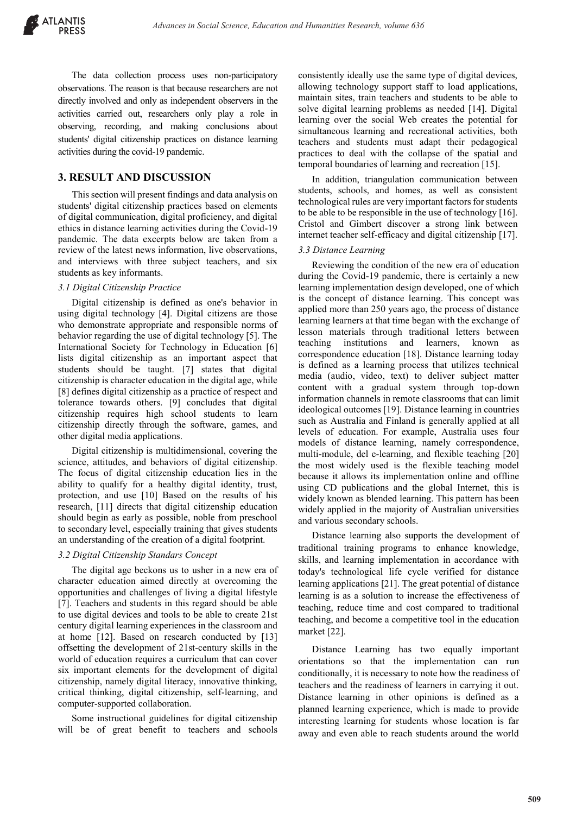The data collection process uses non-participatory observations. The reason is that because researchers are not directly involved and only as independent observers in the activities carried out, researchers only play a role in observing, recording, and making conclusions about students' digital citizenship practices on distance learning activities during the covid-19 pandemic.

## **3. RESULT AND DISCUSSION**

This section will present findings and data analysis on students' digital citizenship practices based on elements of digital communication, digital proficiency, and digital ethics in distance learning activities during the Covid-19 pandemic. The data excerpts below are taken from a review of the latest news information, live observations, and interviews with three subject teachers, and six students as key informants.

#### *3.1 Digital Citizenship Practice*

Digital citizenship is defined as one's behavior in using digital technology [4]. Digital citizens are those who demonstrate appropriate and responsible norms of behavior regarding the use of digital technology [5]. The International Society for Technology in Education [6] lists digital citizenship as an important aspect that students should be taught. [7] states that digital citizenship is character education in the digital age, while [8] defines digital citizenship as a practice of respect and tolerance towards others. [9] concludes that digital citizenship requires high school students to learn citizenship directly through the software, games, and other digital media applications.

Digital citizenship is multidimensional, covering the science, attitudes, and behaviors of digital citizenship. The focus of digital citizenship education lies in the ability to qualify for a healthy digital identity, trust, protection, and use [10] Based on the results of his research, [11] directs that digital citizenship education should begin as early as possible, noble from preschool to secondary level, especially training that gives students an understanding of the creation of a digital footprint.

## *3.2 Digital Citizenship Standars Concept*

The digital age beckons us to usher in a new era of character education aimed directly at overcoming the opportunities and challenges of living a digital lifestyle [7]. Teachers and students in this regard should be able to use digital devices and tools to be able to create 21st century digital learning experiences in the classroom and at home [12]. Based on research conducted by [13] offsetting the development of 21st-century skills in the world of education requires a curriculum that can cover six important elements for the development of digital citizenship, namely digital literacy, innovative thinking, critical thinking, digital citizenship, self-learning, and computer-supported collaboration.

Some instructional guidelines for digital citizenship will be of great benefit to teachers and schools consistently ideally use the same type of digital devices, allowing technology support staff to load applications, maintain sites, train teachers and students to be able to solve digital learning problems as needed [14]. Digital learning over the social Web creates the potential for simultaneous learning and recreational activities, both teachers and students must adapt their pedagogical practices to deal with the collapse of the spatial and temporal boundaries of learning and recreation [15].

In addition, triangulation communication between students, schools, and homes, as well as consistent technological rules are very important factors for students to be able to be responsible in the use of technology [16]. Cristol and Gimbert discover a strong link between internet teacher self-efficacy and digital citizenship [17].

## *3.3 Distance Learning*

Reviewing the condition of the new era of education during the Covid-19 pandemic, there is certainly a new learning implementation design developed, one of which is the concept of distance learning. This concept was applied more than 250 years ago, the process of distance learning learners at that time began with the exchange of lesson materials through traditional letters between teaching institutions and learners, known as correspondence education [18]. Distance learning today is defined as a learning process that utilizes technical media (audio, video, text) to deliver subject matter content with a gradual system through top-down information channels in remote classrooms that can limit ideological outcomes [19]. Distance learning in countries such as Australia and Finland is generally applied at all levels of education. For example, Australia uses four models of distance learning, namely correspondence, multi-module, del e-learning, and flexible teaching [20] the most widely used is the flexible teaching model because it allows its implementation online and offline using CD publications and the global Internet, this is widely known as blended learning. This pattern has been widely applied in the majority of Australian universities and various secondary schools.

Distance learning also supports the development of traditional training programs to enhance knowledge, skills, and learning implementation in accordance with today's technological life cycle verified for distance learning applications [21]. The great potential of distance learning is as a solution to increase the effectiveness of teaching, reduce time and cost compared to traditional teaching, and become a competitive tool in the education market [22].

Distance Learning has two equally important orientations so that the implementation can run conditionally, it is necessary to note how the readiness of teachers and the readiness of learners in carrying it out. Distance learning in other opinions is defined as a planned learning experience, which is made to provide interesting learning for students whose location is far away and even able to reach students around the world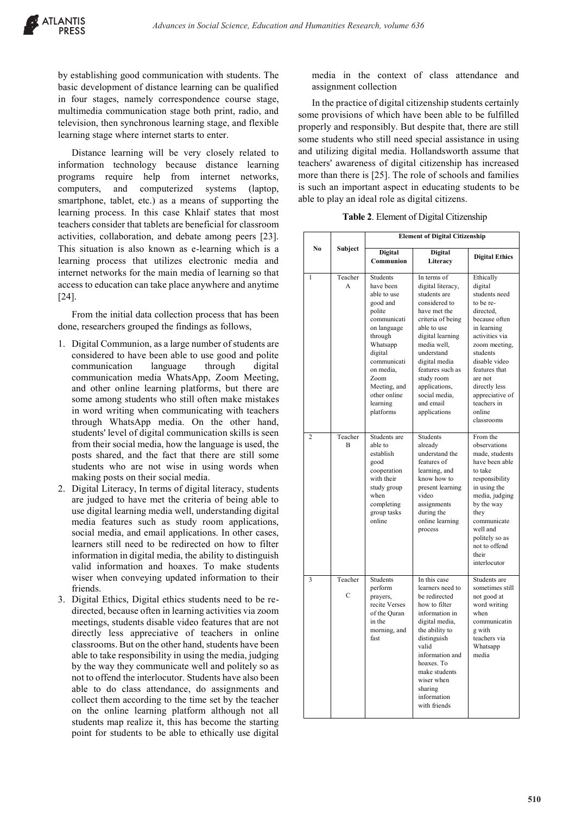by establishing good communication with students. The basic development of distance learning can be qualified in four stages, namely correspondence course stage, multimedia communication stage both print, radio, and television, then synchronous learning stage, and flexible learning stage where internet starts to enter.

Distance learning will be very closely related to information technology because distance learning programs require help from internet networks, computers, and computerized systems (laptop, smartphone, tablet, etc.) as a means of supporting the learning process. In this case Khlaif states that most teachers consider that tablets are beneficial for classroom activities, collaboration, and debate among peers [23]. This situation is also known as e-learning which is a learning process that utilizes electronic media and internet networks for the main media of learning so that access to education can take place anywhere and anytime [24].

From the initial data collection process that has been done, researchers grouped the findings as follows,

- 1. Digital Communion, as a large number of students are considered to have been able to use good and polite communication language through digital communication media WhatsApp, Zoom Meeting, and other online learning platforms, but there are some among students who still often make mistakes in word writing when communicating with teachers through WhatsApp media. On the other hand, students' level of digital communication skills is seen from their social media, how the language is used, the posts shared, and the fact that there are still some students who are not wise in using words when making posts on their social media.
- 2. Digital Literacy, In terms of digital literacy, students are judged to have met the criteria of being able to use digital learning media well, understanding digital media features such as study room applications, social media, and email applications. In other cases, learners still need to be redirected on how to filter information in digital media, the ability to distinguish valid information and hoaxes. To make students wiser when conveying updated information to their friends.
- 3. Digital Ethics, Digital ethics students need to be redirected, because often in learning activities via zoom meetings, students disable video features that are not directly less appreciative of teachers in online classrooms. But on the other hand, students have been able to take responsibility in using the media, judging by the way they communicate well and politely so as not to offend the interlocutor. Students have also been able to do class attendance, do assignments and collect them according to the time set by the teacher on the online learning platform although not all students map realize it, this has become the starting point for students to be able to ethically use digital

media in the context of class attendance and assignment collection

In the practice of digital citizenship students certainly some provisions of which have been able to be fulfilled properly and responsibly. But despite that, there are still some students who still need special assistance in using and utilizing digital media. Hollandsworth assume that teachers' awareness of digital citizenship has increased more than there is [25]. The role of schools and families is such an important aspect in educating students to be able to play an ideal role as digital citizens.

|  | Table 2. Element of Digital Citizenship |  |
|--|-----------------------------------------|--|
|--|-----------------------------------------|--|

|                |                           | <b>Element of Digital Citizenship</b>                                                                                                                                                                                          |                                                                                                                                                                                                                                                                                          |                                                                                                                                                                                                                                                                        |
|----------------|---------------------------|--------------------------------------------------------------------------------------------------------------------------------------------------------------------------------------------------------------------------------|------------------------------------------------------------------------------------------------------------------------------------------------------------------------------------------------------------------------------------------------------------------------------------------|------------------------------------------------------------------------------------------------------------------------------------------------------------------------------------------------------------------------------------------------------------------------|
| N <sub>0</sub> | Subject                   | <b>Digital</b><br>Communion                                                                                                                                                                                                    | <b>Digital</b><br>Literacy                                                                                                                                                                                                                                                               | <b>Digital Ethics</b>                                                                                                                                                                                                                                                  |
| 1              | Teacher<br>A              | <b>Students</b><br>have been<br>able to use<br>good and<br>polite<br>communicati<br>on language<br>through<br>Whatsapp<br>digital<br>communicati<br>on media,<br>Zoom<br>Meeting, and<br>other online<br>learning<br>platforms | In terms of<br>digital literacy,<br>students are<br>considered to<br>have met the<br>criteria of being<br>able to use<br>digital learning<br>media well,<br>understand<br>digital media<br>features such as<br>study room<br>applications,<br>social media,<br>and email<br>applications | Ethically<br>digital<br>students need<br>to be re-<br>directed.<br>because often<br>in learning<br>activities via<br>zoom meeting,<br>students<br>disable video<br>features that<br>are not<br>directly less<br>appreciative of<br>teachers in<br>online<br>classrooms |
| 2              | Teacher<br>$\overline{B}$ | Students are<br>able to<br>establish<br>good<br>cooperation<br>with their<br>study group<br>when<br>completing<br>group tasks<br>online                                                                                        | Students<br>already<br>understand the<br>features of<br>learning, and<br>know how to<br>present learning<br>video<br>assignments<br>during the<br>online learning<br>process                                                                                                             | From the<br>observations<br>made, students<br>have been able<br>to take<br>responsibility<br>in using the<br>media, judging<br>by the way<br>they<br>communicate<br>well and<br>politely so as<br>not to offend<br>their<br>interlocutor                               |
| 3              | Teacher<br>$\overline{C}$ | <b>Students</b><br>perform<br>prayers,<br>recite Verses<br>of the Quran<br>in the<br>morning, and<br>fast                                                                                                                      | In this case<br>learners need to<br>be redirected<br>how to filter<br>information in<br>digital media,<br>the ability to<br>distinguish<br>valid<br>information and<br>hoaxes. To<br>make students<br>wiser when<br>sharing<br>information<br>with friends                               | Students are<br>sometimes still<br>not good at<br>word writing<br>when<br>communicatin<br>g with<br>teachers via<br>Whatsapp<br>media                                                                                                                                  |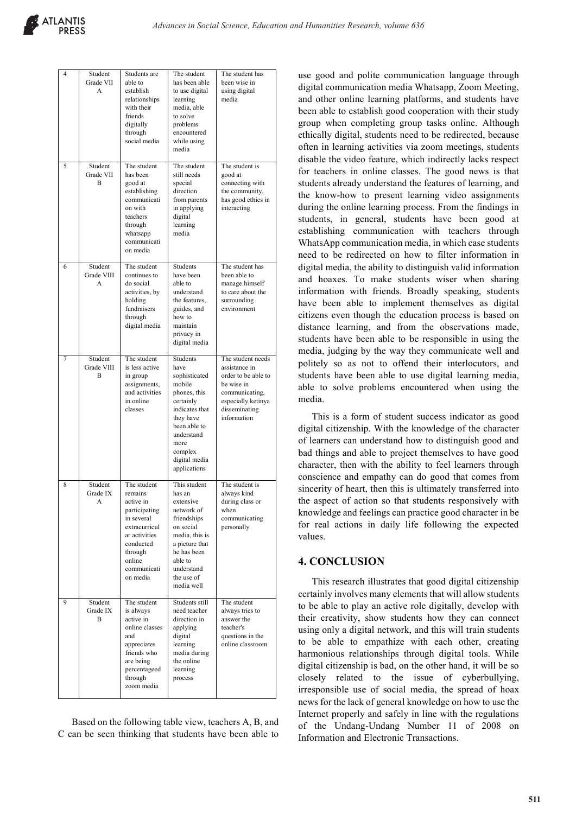| 4 | Student<br>Grade VII<br>A  | Students are<br>able to<br>establish<br>relationships<br>with their<br>friends<br>digitally<br>through<br>social media                                            | The student<br>has been able<br>to use digital<br>learning<br>media, able<br>to solve<br>problems<br>encountered<br>while using<br>media                                                  | The student has<br>been wise in<br>using digital<br>media                                                                                       |
|---|----------------------------|-------------------------------------------------------------------------------------------------------------------------------------------------------------------|-------------------------------------------------------------------------------------------------------------------------------------------------------------------------------------------|-------------------------------------------------------------------------------------------------------------------------------------------------|
| 5 | Student<br>Grade VII<br>B  | The student<br>has been<br>good at<br>establishing<br>communicati<br>on with<br>teachers<br>through<br>whatsapp<br>communicati<br>on media                        | The student<br>still needs<br>special<br>direction<br>from parents<br>in applying<br>digital<br>learning<br>media                                                                         | The student is<br>good at<br>connecting with<br>the community,<br>has good ethics in<br>interacting                                             |
| 6 | Student<br>Grade VIII<br>A | The student<br>continues to<br>do social<br>activities, by<br>holding<br>fundraisers<br>through<br>digital media                                                  | Students<br>have been<br>able to<br>understand<br>the features,<br>guides, and<br>how to<br>maintain<br>privacy in<br>digital media                                                       | The student has<br>been able to<br>manage himself<br>to care about the<br>surrounding<br>environment                                            |
| 7 | Student<br>Grade VIII<br>B | The student<br>is less active<br>in group<br>assignments,<br>and activities<br>in online<br>classes                                                               | Students<br>have<br>sophisticated<br>mobile<br>phones, this<br>certainly<br>indicates that<br>they have<br>been able to<br>understand<br>more<br>complex<br>digital media<br>applications | The student needs<br>assistance in<br>order to be able to<br>be wise in<br>communicating,<br>especially ketinya<br>disseminating<br>information |
| 8 | Student<br>Grade IX<br>A   | The student<br>remains<br>active in<br>participating<br>in several<br>extracurricul<br>ar activities<br>conducted<br>through<br>online<br>communicati<br>on media | This student<br>has an<br>extensive<br>network of<br>friendships<br>on social<br>media, this is<br>a picture that<br>he has been<br>able to<br>understand<br>the use of<br>media well     | The student is<br>always kind<br>during class or<br>when<br>communicating<br>personally                                                         |
| 9 | Student<br>Grade IX<br>B   | The student<br>is always<br>active in<br>online classes<br>and<br>appreciates<br>friends who<br>are being<br>percentageed<br>through<br>zoom media                | Students still<br>need teacher<br>direction in<br>applying<br>digital<br>learning<br>media during<br>the online<br>learning<br>process                                                    | The student<br>always tries to<br>answer the<br>teacher's<br>questions in the<br>online classroom                                               |

Based on the following table view, teachers A, B, and C can be seen thinking that students have been able to use good and polite communication language through digital communication media Whatsapp, Zoom Meeting, and other online learning platforms, and students have been able to establish good cooperation with their study group when completing group tasks online. Although ethically digital, students need to be redirected, because often in learning activities via zoom meetings, students disable the video feature, which indirectly lacks respect for teachers in online classes. The good news is that students already understand the features of learning, and the know-how to present learning video assignments during the online learning process. From the findings in students, in general, students have been good at establishing communication with teachers through WhatsApp communication media, in which case students need to be redirected on how to filter information in digital media, the ability to distinguish valid information and hoaxes. To make students wiser when sharing information with friends. Broadly speaking, students have been able to implement themselves as digital citizens even though the education process is based on distance learning, and from the observations made, students have been able to be responsible in using the media, judging by the way they communicate well and politely so as not to offend their interlocutors, and students have been able to use digital learning media, able to solve problems encountered when using the media.

This is a form of student success indicator as good digital citizenship. With the knowledge of the character of learners can understand how to distinguish good and bad things and able to project themselves to have good character, then with the ability to feel learners through conscience and empathy can do good that comes from sincerity of heart, then this is ultimately transferred into the aspect of action so that students responsively with knowledge and feelings can practice good character in be for real actions in daily life following the expected values.

# **4. CONCLUSION**

This research illustrates that good digital citizenship certainly involves many elements that will allow students to be able to play an active role digitally, develop with their creativity, show students how they can connect using only a digital network, and this will train students to be able to empathize with each other, creating harmonious relationships through digital tools. While digital citizenship is bad, on the other hand, it will be so closely related to the issue of cyberbullying, irresponsible use of social media, the spread of hoax news for the lack of general knowledge on how to use the Internet properly and safely in line with the regulations of the Undang-Undang Number 11 of 2008 on Information and Electronic Transactions.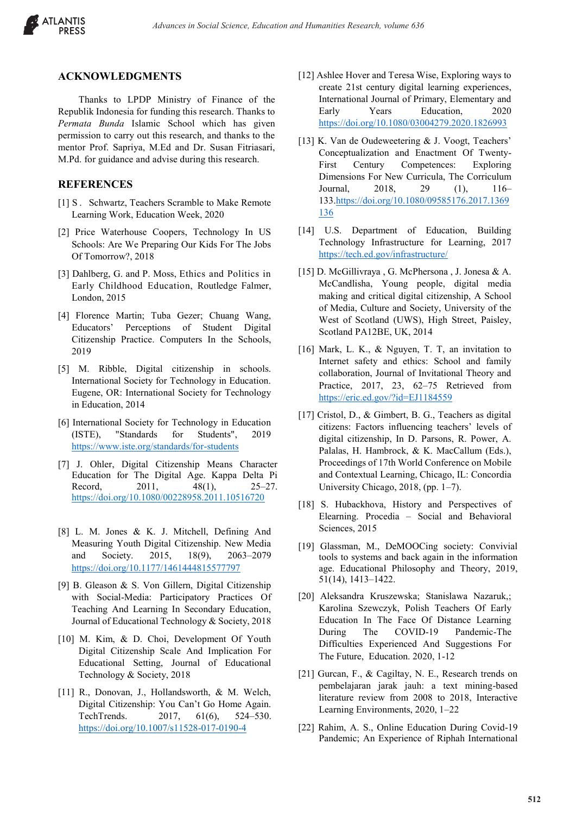

## **ACKNOWLEDGMENTS**

Thanks to LPDP Ministry of Finance of the Republik Indonesia for funding this research. Thanks to *Permata Bunda* Islamic School which has given permission to carry out this research, and thanks to the mentor Prof. Sapriya, M.Ed and Dr. Susan Fitriasari, M.Pd. for guidance and advise during this research.

## **REFERENCES**

- [1] S. Schwartz, Teachers Scramble to Make Remote Learning Work, Education Week, 2020
- [2] Price Waterhouse Coopers, Technology In US Schools: Are We Preparing Our Kids For The Jobs Of Tomorrow?, 2018
- [3] Dahlberg, G. and P. Moss, Ethics and Politics in Early Childhood Education, Routledge Falmer, London, 2015
- [4] Florence Martin; Tuba Gezer; Chuang Wang, Educators' Perceptions of Student Digital Citizenship Practice. Computers In the Schools, 2019
- [5] M. Ribble, Digital citizenship in schools. International Society for Technology in Education. Eugene, OR: International Society for Technology in Education, 2014
- [6] International Society for Technology in Education (ISTE), "Standards for Students", 2019 https://www.iste.org/standards/for-students
- [7] J. Ohler, Digital Citizenship Means Character Education for The Digital Age. Kappa Delta Pi Record, 2011, 48(1), 25–27. https://doi.org/10.1080/00228958.2011.10516720
- [8] L. M. Jones & K. J. Mitchell, Defining And Measuring Youth Digital Citizenship. New Media and Society. 2015, 18(9), 2063–2079 https://doi.org/10.1177/1461444815577797
- [9] B. Gleason & S. Von Gillern, Digital Citizenship with Social-Media: Participatory Practices Of Teaching And Learning In Secondary Education, Journal of Educational Technology & Society, 2018
- [10] M. Kim, & D. Choi, Development Of Youth Digital Citizenship Scale And Implication For Educational Setting, Journal of Educational Technology & Society, 2018
- [11] R., Donovan, J., Hollandsworth, & M. Welch, Digital Citizenship: You Can't Go Home Again. TechTrends. 2017, 61(6), 524–530. https://doi.org/10.1007/s11528-017-0190-4
- [12] Ashlee Hover and Teresa Wise, Exploring ways to create 21st century digital learning experiences, International Journal of Primary, Elementary and Early Years Education, 2020 https://doi.org/10.1080/03004279.2020.1826993
- [13] K. Van de Oudeweetering & J. Voogt, Teachers' Conceptualization and Enactment Of Twenty-First Century Competences: Exploring Dimensions For New Curricula, The Corriculum Journal, 2018, 29 (1), 116– 133.https://doi.org/10.1080/09585176.2017.1369 136
- [14] U.S. Department of Education, Building Technology Infrastructure for Learning, 2017 https://tech.ed.gov/infrastructure/
- [15] D. McGillivraya , G. McPhersona , J. Jonesa & A. McCandlisha, Young people, digital media making and critical digital citizenship, A School of Media, Culture and Society, University of the West of Scotland (UWS), High Street, Paisley, Scotland PA12BE, UK, 2014
- [16] Mark, L. K., & Nguyen, T. T, an invitation to Internet safety and ethics: School and family collaboration, Journal of Invitational Theory and Practice, 2017, 23, 62–75 Retrieved from https://eric.ed.gov/?id=EJ1184559
- [17] Cristol, D., & Gimbert, B. G., Teachers as digital citizens: Factors influencing teachers' levels of digital citizenship, In D. Parsons, R. Power, A. Palalas, H. Hambrock, & K. MacCallum (Eds.), Proceedings of 17th World Conference on Mobile and Contextual Learning, Chicago, IL: Concordia University Chicago, 2018, (pp. 1–7).
- [18] S. Hubackhova, History and Perspectives of Elearning. Procedia – Social and Behavioral Sciences, 2015
- [19] Glassman, M., DeMOOCing society: Convivial tools to systems and back again in the information age. Educational Philosophy and Theory, 2019, 51(14), 1413–1422.
- [20] Aleksandra Kruszewska; Stanislawa Nazaruk,; Karolina Szewczyk, Polish Teachers Of Early Education In The Face Of Distance Learning During The COVID-19 Pandemic-The Difficulties Experienced And Suggestions For The Future, Education. 2020, 1-12
- [21] Gurcan, F., & Cagiltay, N. E., Research trends on pembelajaran jarak jauh: a text mining-based literature review from 2008 to 2018, Interactive Learning Environments, 2020, 1–22
- [22] Rahim, A. S., Online Education During Covid-19 Pandemic; An Experience of Riphah International